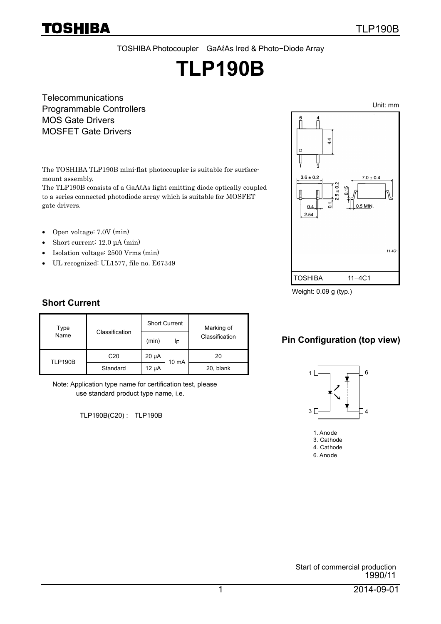TOSHIBA Photocoupler GaAℓAs Ired & Photo−Diode Array

# **TLP190B**

**Telecommunications** Programmable Controllers MOS Gate Drivers MOSFET Gate Drivers

The TOSHIBA TLP190B mini-flat photocoupler is suitable for surfacemount assembly.

The TLP190B consists of a GaAℓAs light emitting diode optically coupled to a series connected photodiode array which is suitable for MOSFET gate drivers.

- Open voltage: 7.0V (min)
- Short current: 12.0 μA (min)
- Isolation voltage: 2500 Vrms (min)
- UL recognized: UL1577, file no. E67349



Weight: 0.09 g (typ.)

### **Short Current**

| Type<br>Name   |                 | <b>Short Current</b> |       |                |  | Marking of |
|----------------|-----------------|----------------------|-------|----------------|--|------------|
|                | Classification  | (min)                | ΙF    | Classification |  |            |
| <b>TLP190B</b> | C <sub>20</sub> | 20 µA                | 10 mA | 20             |  |            |
|                | Standard        | 12 µA                |       | 20, blank      |  |            |

Note: Application type name for certification test, please use standard product type name, i.e.

TLP190B(C20) : TLP190B

#### **Pin Configuration (top view)**



1. Anode 3. Cathode 4. Cathode 6. Anode

Start of commercial production 1990/11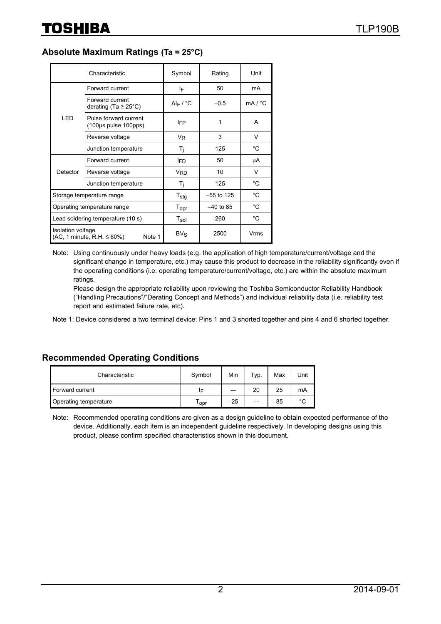#### **Absolute Maximum Ratings (Ta = 25°C)**

|                                                                    | Characteristic                                | Symbol                       | Rating       | Unit         |
|--------------------------------------------------------------------|-----------------------------------------------|------------------------------|--------------|--------------|
|                                                                    | Forward current                               | ΙF                           | 50           | mA           |
|                                                                    | Forward current<br>derating (Ta $\geq$ 25°C)  | $\Delta$ I <sub>F</sub> / °C | $-0.5$       | mA / °C      |
| LED                                                                | Pulse forward current<br>(100µs pulse 100pps) | <b>IFP</b>                   |              | A            |
|                                                                    | Reverse voltage                               | V <sub>R</sub>               | 3            | $\vee$       |
|                                                                    | Junction temperature                          | T <sub>i</sub>               | 125          | $^{\circ}$ C |
|                                                                    | Forward current                               | l <sub>ED</sub>              | 50           | μA           |
| Detector                                                           | Reverse voltage                               | <b>V<sub>RD</sub></b>        | 10           | V            |
|                                                                    | Junction temperature                          | T <sub>i</sub>               | 125          | $^{\circ}$ C |
|                                                                    | Storage temperature range                     | $T_{\text{stg}}$             | $-55$ to 125 | $^{\circ}$ C |
| Operating temperature range                                        |                                               | $T_{\rm opr}$                | $-40$ to 85  | $^{\circ}$ C |
| Lead soldering temperature (10 s)                                  |                                               | $T_{sol}$                    | 260          | °C           |
| Isolation voltage<br>$(AC, 1$ minute, R.H. $\leq 60\%$ )<br>Note 1 |                                               | $BV_S$                       | 2500         | Vrms         |

Note: Using continuously under heavy loads (e.g. the application of high temperature/current/voltage and the significant change in temperature, etc.) may cause this product to decrease in the reliability significantly even if the operating conditions (i.e. operating temperature/current/voltage, etc.) are within the absolute maximum ratings.

Please design the appropriate reliability upon reviewing the Toshiba Semiconductor Reliability Handbook ("Handling Precautions"/"Derating Concept and Methods") and individual reliability data (i.e. reliability test report and estimated failure rate, etc).

Note 1: Device considered a two terminal device: Pins 1 and 3 shorted together and pins 4 and 6 shorted together.

#### **Recommended Operating Conditions**

| Characteristic        | Symbol | Min   | $\tau$ yp. | Max | Unit        |
|-----------------------|--------|-------|------------|-----|-------------|
| Forward current       | ΙF     |       | 20         | 25  | mA          |
| Operating temperature | l opr  | $-25$ |            | 85  | $\sim$<br>ີ |

Note: Recommended operating conditions are given as a design guideline to obtain expected performance of the device. Additionally, each item is an independent guideline respectively. In developing designs using this product, please confirm specified characteristics shown in this document.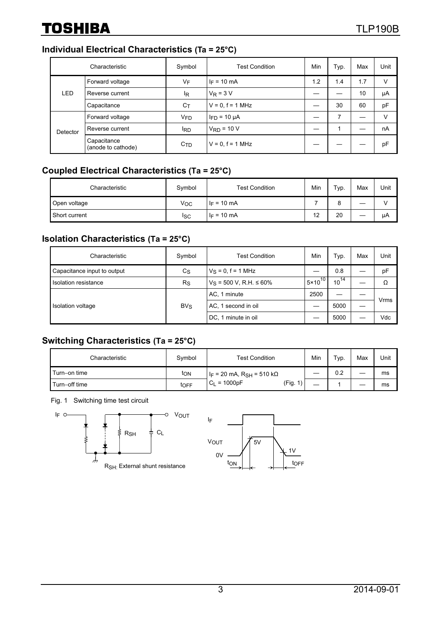#### **Individual Electrical Characteristics (Ta = 25°C)**

|            | Characteristic                    | Symbol                | <b>Test Condition</b> | Min | Typ. | Max | Unit |
|------------|-----------------------------------|-----------------------|-----------------------|-----|------|-----|------|
|            | Forward voltage                   | VF                    | $I_F = 10$ mA         | 1.2 | 1.4  | 1.7 | V    |
| <b>LED</b> | Reverse current                   | ΙŖ                    | $V_R = 3 V$           |     |      | 10  | μA   |
|            | Capacitance                       | $C_T$                 | $V = 0$ , $f = 1$ MHz |     | 30   | 60  | pF   |
|            | Forward voltage                   | <b>V<sub>FD</sub></b> | $I_{FD}$ = 10 µA      |     | 7    |     | v    |
| Detector   | Reverse current                   | <sup>I</sup> RD       | $V_{RD}$ = 10 V       |     |      |     | nA   |
|            | Capacitance<br>(anode to cathode) | C <sub>TD</sub>       | $V = 0, f = 1 MHz$    |     |      |     | pF   |

#### **Coupled Electrical Characteristics (Ta = 25°C)**

| Characteristic | Symbol | <b>Test Condition</b> | Min | Typ. | Max | Unit |
|----------------|--------|-----------------------|-----|------|-----|------|
| Open voltage   | Voc    | $I_F = 10 \text{ mA}$ |     | 8    |     |      |
| Short current  | Isc    | $I_F = 10 \text{ mA}$ | 12  | 20   |     | μA   |

#### **Isolation Characteristics (Ta = 25°C)**

| Characteristic              | Symbol      | Test Condition                  | Min                | Typ.      | Max | Unit |
|-----------------------------|-------------|---------------------------------|--------------------|-----------|-----|------|
| Capacitance input to output | $c_{\rm S}$ | $V_S = 0, f = 1$ MHz            |                    | 0.8       |     | pF   |
| Isolation resistance        | $R_{\rm S}$ | $V_S$ = 500 V, R.H. $\leq 60\%$ | $5 \times 10^{10}$ | $10^{14}$ |     | Ω    |
| Isolation voltage           |             | AC, 1 minute                    | 2500               |           |     | Vrms |
|                             | $BV_S$      | AC, 1 second in oil             |                    | 5000      |     |      |
|                             |             | DC, 1 minute in oil             |                    | 5000      |     | Vdc  |

#### **Switching Characteristics (Ta = 25°C)**

| Characteristic | Symbol | <b>Test Condition</b>                    | Min | Typ. | Max | Unit |
|----------------|--------|------------------------------------------|-----|------|-----|------|
| Turn-on time   | ton    | $ I_F = 20$ mA, R <sub>SH</sub> = 510 kΩ | __  | 0.2  | _   | ms   |
| Turn-off time  | toFF   | (Fig.<br>$C_L = 1000pF$<br>1)            | –   |      |     | ms   |

Fig. 1 Switching time test circuit



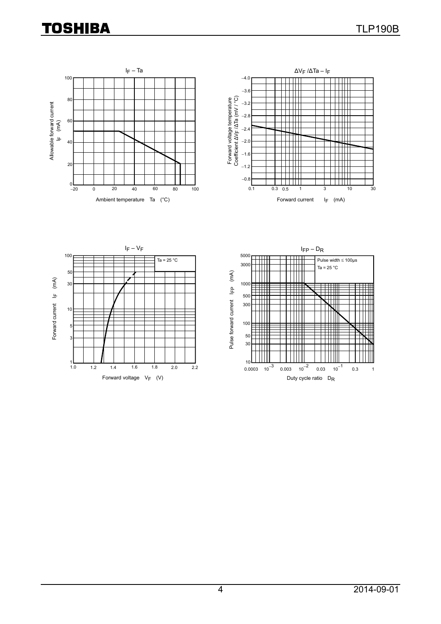## **TOSHIBA**







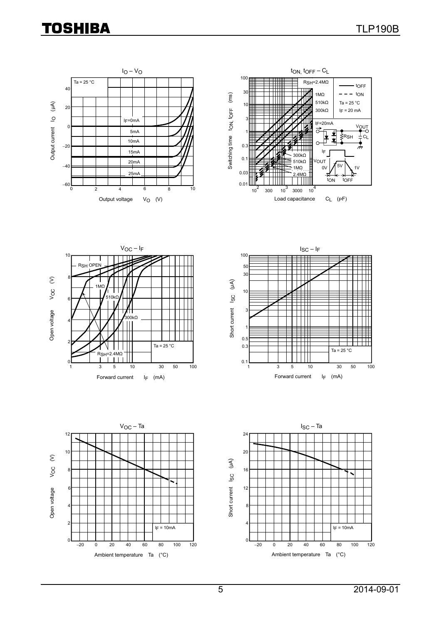## **TOSHIBA**











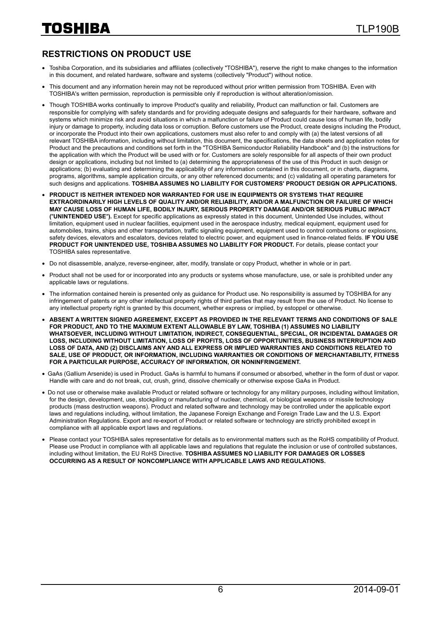#### **RESTRICTIONS ON PRODUCT USE**

- Toshiba Corporation, and its subsidiaries and affiliates (collectively "TOSHIBA"), reserve the right to make changes to the information in this document, and related hardware, software and systems (collectively "Product") without notice.
- This document and any information herein may not be reproduced without prior written permission from TOSHIBA. Even with TOSHIBA's written permission, reproduction is permissible only if reproduction is without alteration/omission.
- Though TOSHIBA works continually to improve Product's quality and reliability, Product can malfunction or fail. Customers are responsible for complying with safety standards and for providing adequate designs and safeguards for their hardware, software and systems which minimize risk and avoid situations in which a malfunction or failure of Product could cause loss of human life, bodily injury or damage to property, including data loss or corruption. Before customers use the Product, create designs including the Product, or incorporate the Product into their own applications, customers must also refer to and comply with (a) the latest versions of all relevant TOSHIBA information, including without limitation, this document, the specifications, the data sheets and application notes for Product and the precautions and conditions set forth in the "TOSHIBA Semiconductor Reliability Handbook" and (b) the instructions for the application with which the Product will be used with or for. Customers are solely responsible for all aspects of their own product design or applications, including but not limited to (a) determining the appropriateness of the use of this Product in such design or applications; (b) evaluating and determining the applicability of any information contained in this document, or in charts, diagrams, programs, algorithms, sample application circuits, or any other referenced documents; and (c) validating all operating parameters for such designs and applications. **TOSHIBA ASSUMES NO LIABILITY FOR CUSTOMERS' PRODUCT DESIGN OR APPLICATIONS.**
- **PRODUCT IS NEITHER INTENDED NOR WARRANTED FOR USE IN EQUIPMENTS OR SYSTEMS THAT REQUIRE EXTRAORDINARILY HIGH LEVELS OF QUALITY AND/OR RELIABILITY, AND/OR A MALFUNCTION OR FAILURE OF WHICH MAY CAUSE LOSS OF HUMAN LIFE, BODILY INJURY, SERIOUS PROPERTY DAMAGE AND/OR SERIOUS PUBLIC IMPACT (**"**UNINTENDED USE**"**).** Except for specific applications as expressly stated in this document, Unintended Use includes, without limitation, equipment used in nuclear facilities, equipment used in the aerospace industry, medical equipment, equipment used for automobiles, trains, ships and other transportation, traffic signaling equipment, equipment used to control combustions or explosions, safety devices, elevators and escalators, devices related to electric power, and equipment used in finance-related fields. **IF YOU USE PRODUCT FOR UNINTENDED USE, TOSHIBA ASSUMES NO LIABILITY FOR PRODUCT.** For details, please contact your TOSHIBA sales representative.
- Do not disassemble, analyze, reverse-engineer, alter, modify, translate or copy Product, whether in whole or in part.
- Product shall not be used for or incorporated into any products or systems whose manufacture, use, or sale is prohibited under any applicable laws or regulations.
- The information contained herein is presented only as quidance for Product use. No responsibility is assumed by TOSHIBA for any infringement of patents or any other intellectual property rights of third parties that may result from the use of Product. No license to any intellectual property right is granted by this document, whether express or implied, by estoppel or otherwise.
- **ABSENT A WRITTEN SIGNED AGREEMENT, EXCEPT AS PROVIDED IN THE RELEVANT TERMS AND CONDITIONS OF SALE FOR PRODUCT, AND TO THE MAXIMUM EXTENT ALLOWABLE BY LAW, TOSHIBA (1) ASSUMES NO LIABILITY WHATSOEVER, INCLUDING WITHOUT LIMITATION, INDIRECT, CONSEQUENTIAL, SPECIAL, OR INCIDENTAL DAMAGES OR LOSS, INCLUDING WITHOUT LIMITATION, LOSS OF PROFITS, LOSS OF OPPORTUNITIES, BUSINESS INTERRUPTION AND LOSS OF DATA, AND (2) DISCLAIMS ANY AND ALL EXPRESS OR IMPLIED WARRANTIES AND CONDITIONS RELATED TO SALE, USE OF PRODUCT, OR INFORMATION, INCLUDING WARRANTIES OR CONDITIONS OF MERCHANTABILITY, FITNESS FOR A PARTICULAR PURPOSE, ACCURACY OF INFORMATION, OR NONINFRINGEMENT.**
- GaAs (Gallium Arsenide) is used in Product. GaAs is harmful to humans if consumed or absorbed, whether in the form of dust or vapor. Handle with care and do not break, cut, crush, grind, dissolve chemically or otherwise expose GaAs in Product.
- Do not use or otherwise make available Product or related software or technology for any military purposes, including without limitation, for the design, development, use, stockpiling or manufacturing of nuclear, chemical, or biological weapons or missile technology products (mass destruction weapons). Product and related software and technology may be controlled under the applicable export laws and regulations including, without limitation, the Japanese Foreign Exchange and Foreign Trade Law and the U.S. Export Administration Regulations. Export and re-export of Product or related software or technology are strictly prohibited except in compliance with all applicable export laws and regulations.
- Please contact your TOSHIBA sales representative for details as to environmental matters such as the RoHS compatibility of Product. Please use Product in compliance with all applicable laws and regulations that regulate the inclusion or use of controlled substances, including without limitation, the EU RoHS Directive. **TOSHIBA ASSUMES NO LIABILITY FOR DAMAGES OR LOSSES OCCURRING AS A RESULT OF NONCOMPLIANCE WITH APPLICABLE LAWS AND REGULATIONS.**